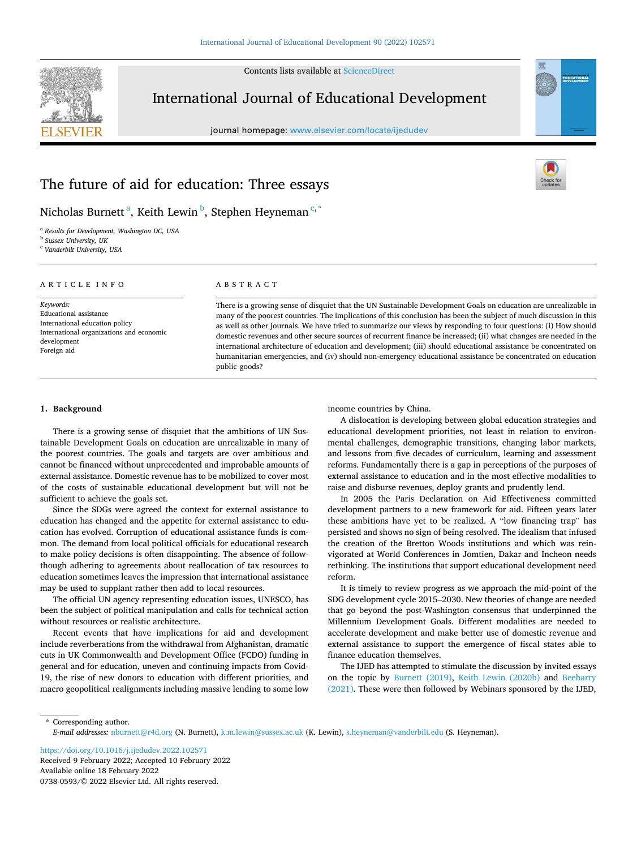Contents lists available at [ScienceDirect](www.sciencedirect.com/science/journal/07380593)



# International Journal of Educational Development

journal homepage: [www.elsevier.com/locate/ijedudev](https://www.elsevier.com/locate/ijedudev)



# The future of aid for education: Three essays



## Nicholas Burnett <sup>a</sup>, Keith Lewin <sup>b</sup>, Stephen Heyneman <sup>c, \*</sup>

<sup>a</sup> *Results for Development, Washington DC, USA* <sup>b</sup> *Sussex University, UK* 

<sup>c</sup> *Vanderbilt University, USA* 

#### ARTICLE INFO

*Keywords:*  Educational assistance International education policy International organizations and economic development Foreign aid

## ABSTRACT

There is a growing sense of disquiet that the UN Sustainable Development Goals on education are unrealizable in many of the poorest countries. The implications of this conclusion has been the subject of much discussion in this as well as other journals. We have tried to summarize our views by responding to four questions: (i) How should domestic revenues and other secure sources of recurrent finance be increased; (ii) what changes are needed in the international architecture of education and development; (iii) should educational assistance be concentrated on humanitarian emergencies, and (iv) should non-emergency educational assistance be concentrated on education public goods?

#### **1. Background**

There is a growing sense of disquiet that the ambitions of UN Sustainable Development Goals on education are unrealizable in many of the poorest countries. The goals and targets are over ambitious and cannot be financed without unprecedented and improbable amounts of external assistance. Domestic revenue has to be mobilized to cover most of the costs of sustainable educational development but will not be sufficient to achieve the goals set.

Since the SDGs were agreed the context for external assistance to education has changed and the appetite for external assistance to education has evolved. Corruption of educational assistance funds is common. The demand from local political officials for educational research to make policy decisions is often disappointing. The absence of followthough adhering to agreements about reallocation of tax resources to education sometimes leaves the impression that international assistance may be used to supplant rather then add to local resources.

The official UN agency representing education issues, UNESCO, has been the subject of political manipulation and calls for technical action without resources or realistic architecture.

Recent events that have implications for aid and development include reverberations from the withdrawal from Afghanistan, dramatic cuts in UK Commonwealth and Development Office (FCDO) funding in general and for education, uneven and continuing impacts from Covid-19, the rise of new donors to education with different priorities, and macro geopolitical realignments including massive lending to some low

income countries by China.

A dislocation is developing between global education strategies and educational development priorities, not least in relation to environmental challenges, demographic transitions, changing labor markets, and lessons from five decades of curriculum, learning and assessment reforms. Fundamentally there is a gap in perceptions of the purposes of external assistance to education and in the most effective modalities to raise and disburse revenues, deploy grants and prudently lend.

In 2005 the Paris Declaration on Aid Effectiveness committed development partners to a new framework for aid. Fifteen years later these ambitions have yet to be realized. A "low financing trap" has persisted and shows no sign of being resolved. The idealism that infused the creation of the Bretton Woods institutions and which was reinvigorated at World Conferences in Jomtien, Dakar and Incheon needs rethinking. The institutions that support educational development need reform.

It is timely to review progress as we approach the mid-point of the SDG development cycle 2015–2030. New theories of change are needed that go beyond the post-Washington consensus that underpinned the Millennium Development Goals. Different modalities are needed to accelerate development and make better use of domestic revenue and external assistance to support the emergence of fiscal states able to finance education themselves.

The IJED has attempted to stimulate the discussion by invited essays on the topic by [Burnett \(2019\),](#page-5-0) [Keith Lewin \(2020b\)](#page-5-0) and [Beeharry](#page-5-0)  [\(2021\).](#page-5-0) These were then followed by Webinars sponsored by the IJED,

\* Corresponding author. *E-mail addresses:* [nburnett@r4d.org](mailto:nburnett@r4d.org) (N. Burnett), [k.m.lewin@sussex.ac.uk](mailto:k.m.lewin@sussex.ac.uk) (K. Lewin), [s.heyneman@vanderbilt.edu](mailto:s.heyneman@vanderbilt.edu) (S. Heyneman).

Available online 18 February 2022 0738-0593/© 2022 Elsevier Ltd. All rights reserved. <https://doi.org/10.1016/j.ijedudev.2022.102571> Received 9 February 2022; Accepted 10 February 2022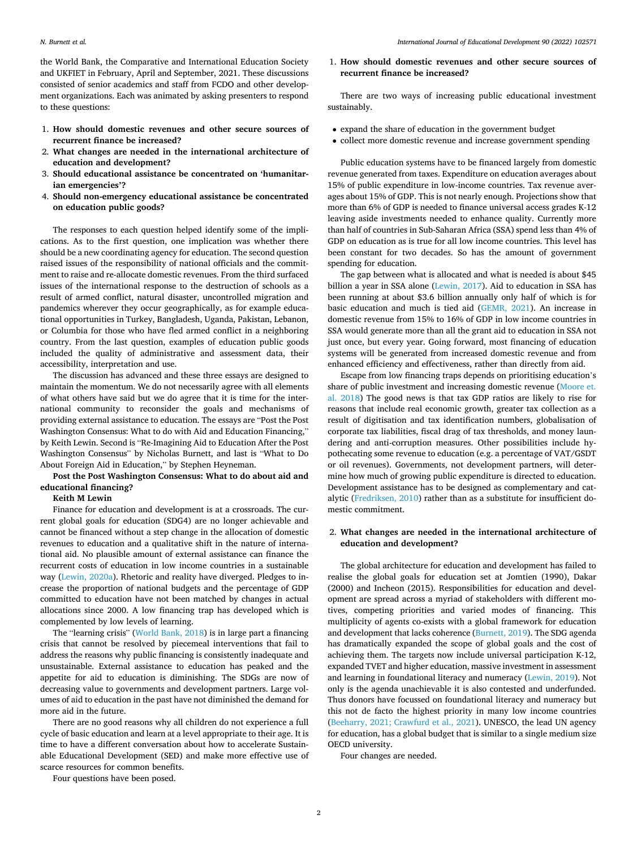the World Bank, the Comparative and International Education Society and UKFIET in February, April and September, 2021. These discussions consisted of senior academics and staff from FCDO and other development organizations. Each was animated by asking presenters to respond to these questions:

- 1. **How should domestic revenues and other secure sources of recurrent finance be increased?**
- 2. **What changes are needed in the international architecture of education and development?**
- 3. **Should educational assistance be concentrated on 'humanitarian emergencies'?**
- 4. **Should non-emergency educational assistance be concentrated on education public goods?**

The responses to each question helped identify some of the implications. As to the first question, one implication was whether there should be a new coordinating agency for education. The second question raised issues of the responsibility of national officials and the commitment to raise and re-allocate domestic revenues. From the third surfaced issues of the international response to the destruction of schools as a result of armed conflict, natural disaster, uncontrolled migration and pandemics wherever they occur geographically, as for example educational opportunities in Turkey, Bangladesh, Uganda, Pakistan, Lebanon, or Columbia for those who have fled armed conflict in a neighboring country. From the last question, examples of education public goods included the quality of administrative and assessment data, their accessibility, interpretation and use.

The discussion has advanced and these three essays are designed to maintain the momentum. We do not necessarily agree with all elements of what others have said but we do agree that it is time for the international community to reconsider the goals and mechanisms of providing external assistance to education. The essays are "Post the Post Washington Consensus: What to do with Aid and Education Financing," by Keith Lewin. Second is "Re-Imagining Aid to Education After the Post Washington Consensus" by Nicholas Burnett, and last is "What to Do About Foreign Aid in Education," by Stephen Heyneman.

## **Post the Post Washington Consensus: What to do about aid and educational financing?**

## **Keith M Lewin**

Finance for education and development is at a crossroads. The current global goals for education (SDG4) are no longer achievable and cannot be financed without a step change in the allocation of domestic revenues to education and a qualitative shift in the nature of international aid. No plausible amount of external assistance can finance the recurrent costs of education in low income countries in a sustainable way ([Lewin, 2020a\)](#page-5-0). Rhetoric and reality have diverged. Pledges to increase the proportion of national budgets and the percentage of GDP committed to education have not been matched by changes in actual allocations since 2000. A low financing trap has developed which is complemented by low levels of learning.

The "learning crisis" ([World Bank, 2018\)](#page-5-0) is in large part a financing crisis that cannot be resolved by piecemeal interventions that fail to address the reasons why public financing is consistently inadequate and unsustainable. External assistance to education has peaked and the appetite for aid to education is diminishing. The SDGs are now of decreasing value to governments and development partners. Large volumes of aid to education in the past have not diminished the demand for more aid in the future.

There are no good reasons why all children do not experience a full cycle of basic education and learn at a level appropriate to their age. It is time to have a different conversation about how to accelerate Sustainable Educational Development (SED) and make more effective use of scarce resources for common benefits.

Four questions have been posed.

1. **How should domestic revenues and other secure sources of recurrent finance be increased?** 

There are two ways of increasing public educational investment sustainably.

- expand the share of education in the government budget
- collect more domestic revenue and increase government spending

Public education systems have to be financed largely from domestic revenue generated from taxes. Expenditure on education averages about 15% of public expenditure in low-income countries. Tax revenue averages about 15% of GDP. This is not nearly enough. Projections show that more than 6% of GDP is needed to finance universal access grades K-12 leaving aside investments needed to enhance quality. Currently more than half of countries in Sub-Saharan Africa (SSA) spend less than 4% of GDP on education as is true for all low income countries. This level has been constant for two decades. So has the amount of government spending for education.

The gap between what is allocated and what is needed is about \$45 billion a year in SSA alone ([Lewin, 2017\)](#page-5-0). Aid to education in SSA has been running at about \$3.6 billion annually only half of which is for basic education and much is tied aid ([GEMR, 2021](#page-5-0)). An increase in domestic revenue from 15% to 16% of GDP in low income countries in SSA would generate more than all the grant aid to education in SSA not just once, but every year. Going forward, most financing of education systems will be generated from increased domestic revenue and from enhanced efficiency and effectiveness, rather than directly from aid.

Escape from low financing traps depends on prioritising education's share of public investment and increasing domestic revenue ([Moore et.](#page-5-0)  [al. 2018\)](#page-5-0) The good news is that tax GDP ratios are likely to rise for reasons that include real economic growth, greater tax collection as a result of digitisation and tax identification numbers, globalisation of corporate tax liabilities, fiscal drag of tax thresholds, and money laundering and anti-corruption measures. Other possibilities include hypothecating some revenue to education (e.g. a percentage of VAT/GSDT or oil revenues). Governments, not development partners, will determine how much of growing public expenditure is directed to education. Development assistance has to be designed as complementary and catalytic ([Fredriksen, 2010](#page-5-0)) rather than as a substitute for insufficient domestic commitment.

## 2. **What changes are needed in the international architecture of education and development?**

The global architecture for education and development has failed to realise the global goals for education set at Jomtien (1990), Dakar (2000) and Incheon (2015). Responsibilities for education and development are spread across a myriad of stakeholders with different motives, competing priorities and varied modes of financing. This multiplicity of agents co-exists with a global framework for education and development that lacks coherence ([Burnett, 2019](#page-5-0)). The SDG agenda has dramatically expanded the scope of global goals and the cost of achieving them. The targets now include universal participation K-12, expanded TVET and higher education, massive investment in assessment and learning in foundational literacy and numeracy ([Lewin, 2019](#page-5-0)). Not only is the agenda unachievable it is also contested and underfunded. Thus donors have focussed on foundational literacy and numeracy but this not de facto the highest priority in many low income countries ([Beeharry, 2021; Crawfurd et al., 2021\)](#page-5-0). UNESCO, the lead UN agency for education, has a global budget that is similar to a single medium size OECD university.

Four changes are needed.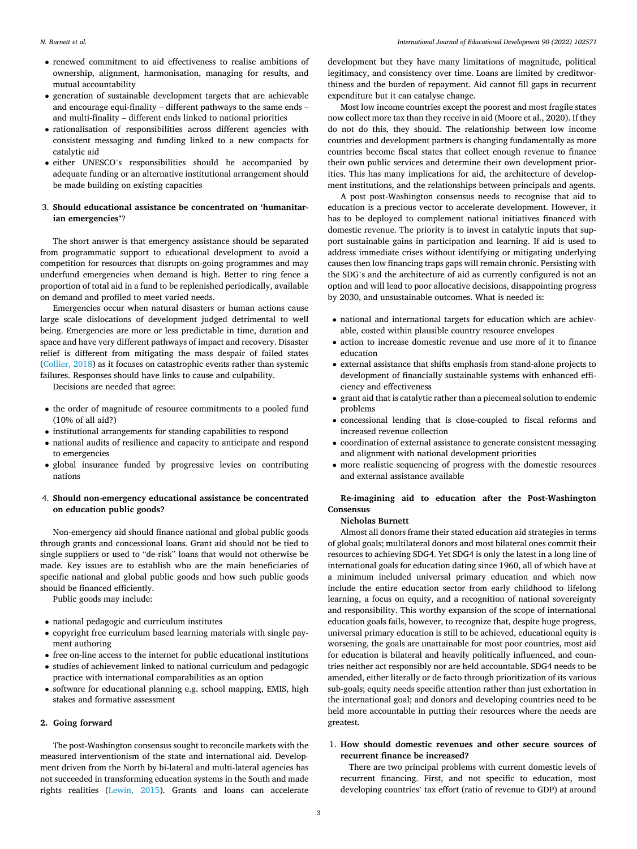- renewed commitment to aid effectiveness to realise ambitions of ownership, alignment, harmonisation, managing for results, and mutual accountability
- generation of sustainable development targets that are achievable and encourage equi-finality – different pathways to the same ends – and multi-finality – different ends linked to national priorities
- rationalisation of responsibilities across different agencies with consistent messaging and funding linked to a new compacts for catalytic aid
- either UNESCO's responsibilities should be accompanied by adequate funding or an alternative institutional arrangement should be made building on existing capacities

## 3. **Should educational assistance be concentrated on 'humanitarian emergencies'**?

The short answer is that emergency assistance should be separated from programmatic support to educational development to avoid a competition for resources that disrupts on-going programmes and may underfund emergencies when demand is high. Better to ring fence a proportion of total aid in a fund to be replenished periodically, available on demand and profiled to meet varied needs.

Emergencies occur when natural disasters or human actions cause large scale dislocations of development judged detrimental to well being. Emergencies are more or less predictable in time, duration and space and have very different pathways of impact and recovery. Disaster relief is different from mitigating the mass despair of failed states ([Collier, 2018](#page-5-0)) as it focuses on catastrophic events rather than systemic failures. Responses should have links to cause and culpability.

Decisions are needed that agree:

- the order of magnitude of resource commitments to a pooled fund (10% of all aid?)
- institutional arrangements for standing capabilities to respond
- national audits of resilience and capacity to anticipate and respond to emergencies
- global insurance funded by progressive levies on contributing nations

## 4. **Should non-emergency educational assistance be concentrated on education public goods?**

Non-emergency aid should finance national and global public goods through grants and concessional loans. Grant aid should not be tied to single suppliers or used to "de-risk" loans that would not otherwise be made. Key issues are to establish who are the main beneficiaries of specific national and global public goods and how such public goods should be financed efficiently.

Public goods may include:

- national pedagogic and curriculum institutes
- copyright free curriculum based learning materials with single payment authoring
- free on-line access to the internet for public educational institutions
- studies of achievement linked to national curriculum and pedagogic practice with international comparabilities as an option
- software for educational planning e.g. school mapping, EMIS, high stakes and formative assessment

#### **2. Going forward**

The post-Washington consensus sought to reconcile markets with the measured interventionism of the state and international aid. Development driven from the North by bi-lateral and multi-lateral agencies has not succeeded in transforming education systems in the South and made rights realities ([Lewin, 2015](#page-5-0)). Grants and loans can accelerate

development but they have many limitations of magnitude, political legitimacy, and consistency over time. Loans are limited by creditworthiness and the burden of repayment. Aid cannot fill gaps in recurrent expenditure but it can catalyse change.

Most low income countries except the poorest and most fragile states now collect more tax than they receive in aid (Moore et al., 2020). If they do not do this, they should. The relationship between low income countries and development partners is changing fundamentally as more countries become fiscal states that collect enough revenue to finance their own public services and determine their own development priorities. This has many implications for aid, the architecture of development institutions, and the relationships between principals and agents.

A post post-Washington consensus needs to recognise that aid to education is a precious vector to accelerate development. However, it has to be deployed to complement national initiatives financed with domestic revenue. The priority is to invest in catalytic inputs that support sustainable gains in participation and learning. If aid is used to address immediate crises without identifying or mitigating underlying causes then low financing traps gaps will remain chronic. Persisting with the SDG's and the architecture of aid as currently configured is not an option and will lead to poor allocative decisions, disappointing progress by 2030, and unsustainable outcomes. What is needed is:

- national and international targets for education which are achievable, costed within plausible country resource envelopes
- action to increase domestic revenue and use more of it to finance education
- external assistance that shifts emphasis from stand-alone projects to development of financially sustainable systems with enhanced efficiency and effectiveness
- grant aid that is catalytic rather than a piecemeal solution to endemic problems
- concessional lending that is close-coupled to fiscal reforms and increased revenue collection
- coordination of external assistance to generate consistent messaging and alignment with national development priorities
- more realistic sequencing of progress with the domestic resources and external assistance available

## **Re-imagining aid to education after the Post-Washington Consensus**

### **Nicholas Burnett**

Almost all donors frame their stated education aid strategies in terms of global goals; multilateral donors and most bilateral ones commit their resources to achieving SDG4. Yet SDG4 is only the latest in a long line of international goals for education dating since 1960, all of which have at a minimum included universal primary education and which now include the entire education sector from early childhood to lifelong learning, a focus on equity, and a recognition of national sovereignty and responsibility. This worthy expansion of the scope of international education goals fails, however, to recognize that, despite huge progress, universal primary education is still to be achieved, educational equity is worsening, the goals are unattainable for most poor countries, most aid for education is bilateral and heavily politically influenced, and countries neither act responsibly nor are held accountable. SDG4 needs to be amended, either literally or de facto through prioritization of its various sub-goals; equity needs specific attention rather than just exhortation in the international goal; and donors and developing countries need to be held more accountable in putting their resources where the needs are greatest.

## 1. **How should domestic revenues and other secure sources of recurrent finance be increased?**

There are two principal problems with current domestic levels of recurrent financing. First, and not specific to education, most developing countries' tax effort (ratio of revenue to GDP) at around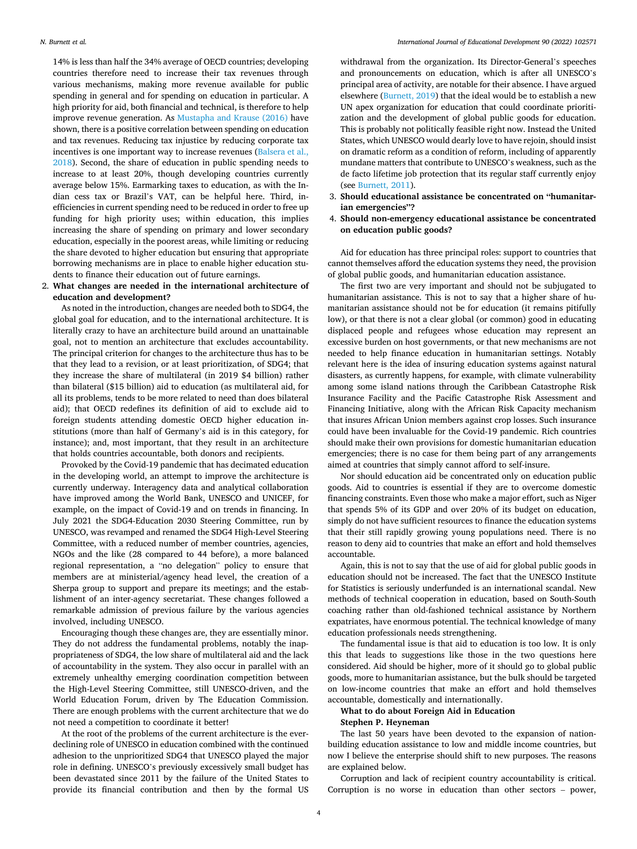14% is less than half the 34% average of OECD countries; developing countries therefore need to increase their tax revenues through various mechanisms, making more revenue available for public spending in general and for spending on education in particular. A high priority for aid, both financial and technical, is therefore to help improve revenue generation. As [Mustapha and Krause \(2016\)](#page-5-0) have shown, there is a positive correlation between spending on education and tax revenues. Reducing tax injustice by reducing corporate tax incentives is one important way to increase revenues (Balsera et al., [2018](#page-5-0)). Second, the share of education in public spending needs to increase to at least 20%, though developing countries currently average below 15%. Earmarking taxes to education, as with the Indian cess tax or Brazil's VAT, can be helpful here. Third, inefficiencies in current spending need to be reduced in order to free up funding for high priority uses; within education, this implies increasing the share of spending on primary and lower secondary education, especially in the poorest areas, while limiting or reducing the share devoted to higher education but ensuring that appropriate borrowing mechanisms are in place to enable higher education students to finance their education out of future earnings.

### 2. **What changes are needed in the international architecture of education and development?**

As noted in the introduction, changes are needed both to SDG4, the global goal for education, and to the international architecture. It is literally crazy to have an architecture build around an unattainable goal, not to mention an architecture that excludes accountability. The principal criterion for changes to the architecture thus has to be that they lead to a revision, or at least prioritization, of SDG4; that they increase the share of multilateral (in 2019 \$4 billion) rather than bilateral (\$15 billion) aid to education (as multilateral aid, for all its problems, tends to be more related to need than does bilateral aid); that OECD redefines its definition of aid to exclude aid to foreign students attending domestic OECD higher education institutions (more than half of Germany's aid is in this category, for instance); and, most important, that they result in an architecture that holds countries accountable, both donors and recipients.

Provoked by the Covid-19 pandemic that has decimated education in the developing world, an attempt to improve the architecture is currently underway. Interagency data and analytical collaboration have improved among the World Bank, UNESCO and UNICEF, for example, on the impact of Covid-19 and on trends in financing. In July 2021 the SDG4-Education 2030 Steering Committee, run by UNESCO, was revamped and renamed the SDG4 High-Level Steering Committee, with a reduced number of member countries, agencies, NGOs and the like (28 compared to 44 before), a more balanced regional representation, a "no delegation" policy to ensure that members are at ministerial/agency head level, the creation of a Sherpa group to support and prepare its meetings; and the establishment of an inter-agency secretariat. These changes followed a remarkable admission of previous failure by the various agencies involved, including UNESCO.

Encouraging though these changes are, they are essentially minor. They do not address the fundamental problems, notably the inappropriateness of SDG4, the low share of multilateral aid and the lack of accountability in the system. They also occur in parallel with an extremely unhealthy emerging coordination competition between the High-Level Steering Committee, still UNESCO-driven, and the World Education Forum, driven by The Education Commission. There are enough problems with the current architecture that we do not need a competition to coordinate it better!

At the root of the problems of the current architecture is the everdeclining role of UNESCO in education combined with the continued adhesion to the unprioritized SDG4 that UNESCO played the major role in defining. UNESCO's previously excessively small budget has been devastated since 2011 by the failure of the United States to provide its financial contribution and then by the formal US

withdrawal from the organization. Its Director-General's speeches and pronouncements on education, which is after all UNESCO's principal area of activity, are notable for their absence. I have argued elsewhere ([Burnett, 2019](#page-5-0)) that the ideal would be to establish a new UN apex organization for education that could coordinate prioritization and the development of global public goods for education. This is probably not politically feasible right now. Instead the United States, which UNESCO would dearly love to have rejoin, should insist on dramatic reform as a condition of reform, including of apparently mundane matters that contribute to UNESCO's weakness, such as the de facto lifetime job protection that its regular staff currently enjoy (see [Burnett, 2011\)](#page-5-0).

- 3. **Should educational assistance be concentrated on "humanitarian emergencies"?**
- 4. **Should non-emergency educational assistance be concentrated on education public goods?**

Aid for education has three principal roles: support to countries that cannot themselves afford the education systems they need, the provision of global public goods, and humanitarian education assistance.

The first two are very important and should not be subjugated to humanitarian assistance. This is not to say that a higher share of humanitarian assistance should not be for education (it remains pitifully low), or that there is not a clear global (or common) good in educating displaced people and refugees whose education may represent an excessive burden on host governments, or that new mechanisms are not needed to help finance education in humanitarian settings. Notably relevant here is the idea of insuring education systems against natural disasters, as currently happens, for example, with climate vulnerability among some island nations through the Caribbean Catastrophe Risk Insurance Facility and the Pacific Catastrophe Risk Assessment and Financing Initiative, along with the African Risk Capacity mechanism that insures African Union members against crop losses. Such insurance could have been invaluable for the Covid-19 pandemic. Rich countries should make their own provisions for domestic humanitarian education emergencies; there is no case for them being part of any arrangements aimed at countries that simply cannot afford to self-insure.

Nor should education aid be concentrated only on education public goods. Aid to countries is essential if they are to overcome domestic financing constraints. Even those who make a major effort, such as Niger that spends 5% of its GDP and over 20% of its budget on education, simply do not have sufficient resources to finance the education systems that their still rapidly growing young populations need. There is no reason to deny aid to countries that make an effort and hold themselves accountable.

Again, this is not to say that the use of aid for global public goods in education should not be increased. The fact that the UNESCO Institute for Statistics is seriously underfunded is an international scandal. New methods of technical cooperation in education, based on South-South coaching rather than old-fashioned technical assistance by Northern expatriates, have enormous potential. The technical knowledge of many education professionals needs strengthening.

The fundamental issue is that aid to education is too low. It is only this that leads to suggestions like those in the two questions here considered. Aid should be higher, more of it should go to global public goods, more to humanitarian assistance, but the bulk should be targeted on low-income countries that make an effort and hold themselves accountable, domestically and internationally.

#### **What to do about Foreign Aid in Education**

#### **Stephen P. Heyneman**

The last 50 years have been devoted to the expansion of nationbuilding education assistance to low and middle income countries, but now I believe the enterprise should shift to new purposes. The reasons are explained below.

Corruption and lack of recipient country accountability is critical. Corruption is no worse in education than other sectors – power,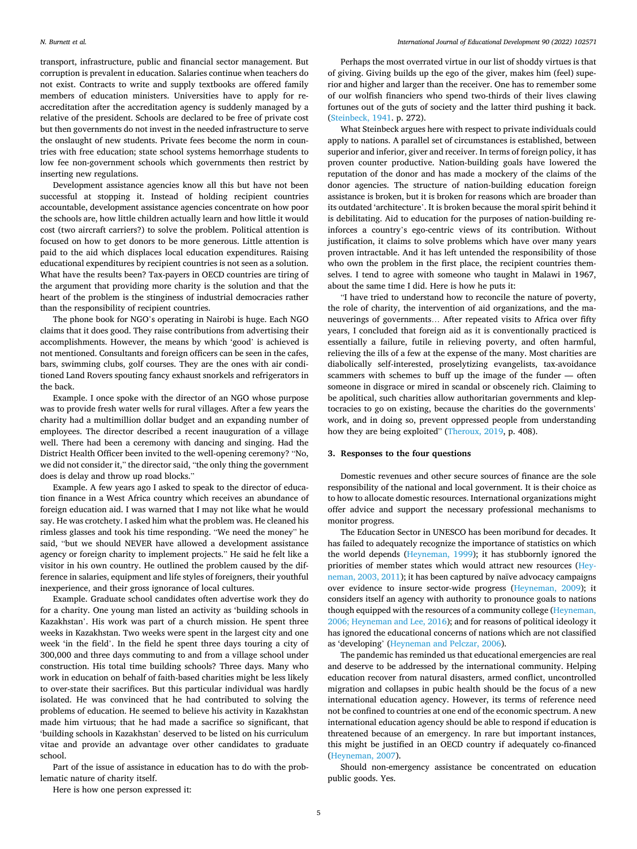transport, infrastructure, public and financial sector management. But corruption is prevalent in education. Salaries continue when teachers do not exist. Contracts to write and supply textbooks are offered family members of education ministers. Universities have to apply for reaccreditation after the accreditation agency is suddenly managed by a relative of the president. Schools are declared to be free of private cost but then governments do not invest in the needed infrastructure to serve the onslaught of new students. Private fees become the norm in countries with free education; state school systems hemorrhage students to low fee non-government schools which governments then restrict by inserting new regulations.

Development assistance agencies know all this but have not been successful at stopping it. Instead of holding recipient countries accountable, development assistance agencies concentrate on how poor the schools are, how little children actually learn and how little it would cost (two aircraft carriers?) to solve the problem. Political attention is focused on how to get donors to be more generous. Little attention is paid to the aid which displaces local education expenditures. Raising educational expenditures by recipient countries is not seen as a solution. What have the results been? Tax-payers in OECD countries are tiring of the argument that providing more charity is the solution and that the heart of the problem is the stinginess of industrial democracies rather than the responsibility of recipient countries.

The phone book for NGO's operating in Nairobi is huge. Each NGO claims that it does good. They raise contributions from advertising their accomplishments. However, the means by which 'good' is achieved is not mentioned. Consultants and foreign officers can be seen in the cafes, bars, swimming clubs, golf courses. They are the ones with air conditioned Land Rovers spouting fancy exhaust snorkels and refrigerators in the back.

Example. I once spoke with the director of an NGO whose purpose was to provide fresh water wells for rural villages. After a few years the charity had a multimillion dollar budget and an expanding number of employees. The director described a recent inauguration of a village well. There had been a ceremony with dancing and singing. Had the District Health Officer been invited to the well-opening ceremony? "No, we did not consider it," the director said, "the only thing the government does is delay and throw up road blocks."

Example. A few years ago I asked to speak to the director of education finance in a West Africa country which receives an abundance of foreign education aid. I was warned that I may not like what he would say. He was crotchety. I asked him what the problem was. He cleaned his rimless glasses and took his time responding. "We need the money" he said, "but we should NEVER have allowed a development assistance agency or foreign charity to implement projects." He said he felt like a visitor in his own country. He outlined the problem caused by the difference in salaries, equipment and life styles of foreigners, their youthful inexperience, and their gross ignorance of local cultures.

Example. Graduate school candidates often advertise work they do for a charity. One young man listed an activity as 'building schools in Kazakhstan'. His work was part of a church mission. He spent three weeks in Kazakhstan. Two weeks were spent in the largest city and one week 'in the field'. In the field he spent three days touring a city of 300,000 and three days commuting to and from a village school under construction. His total time building schools? Three days. Many who work in education on behalf of faith-based charities might be less likely to over-state their sacrifices. But this particular individual was hardly isolated. He was convinced that he had contributed to solving the problems of education. He seemed to believe his activity in Kazakhstan made him virtuous; that he had made a sacrifice so significant, that 'building schools in Kazakhstan' deserved to be listed on his curriculum vitae and provide an advantage over other candidates to graduate school.

Part of the issue of assistance in education has to do with the problematic nature of charity itself.

Here is how one person expressed it:

Perhaps the most overrated virtue in our list of shoddy virtues is that of giving. Giving builds up the ego of the giver, makes him (feel) superior and higher and larger than the receiver. One has to remember some of our wolfish financiers who spend two-thirds of their lives clawing fortunes out of the guts of society and the latter third pushing it back. ([Steinbeck, 1941](#page-5-0). p. 272).

What Steinbeck argues here with respect to private individuals could apply to nations. A parallel set of circumstances is established, between superior and inferior, giver and receiver. In terms of foreign policy, it has proven counter productive. Nation-building goals have lowered the reputation of the donor and has made a mockery of the claims of the donor agencies. The structure of nation-building education foreign assistance is broken, but it is broken for reasons which are broader than its outdated 'architecture'. It is broken because the moral spirit behind it is debilitating. Aid to education for the purposes of nation-building reinforces a country's ego-centric views of its contribution. Without justification, it claims to solve problems which have over many years proven intractable. And it has left untended the responsibility of those who own the problem in the first place, the recipient countries themselves. I tend to agree with someone who taught in Malawi in 1967, about the same time I did. Here is how he puts it:

"I have tried to understand how to reconcile the nature of poverty, the role of charity, the intervention of aid organizations, and the maneuverings of governments… After repeated visits to Africa over fifty years, I concluded that foreign aid as it is conventionally practiced is essentially a failure, futile in relieving poverty, and often harmful, relieving the ills of a few at the expense of the many. Most charities are diabolically self-interested, proselytizing evangelists, tax-avoidance scammers with schemes to buff up the image of the funder — often someone in disgrace or mired in scandal or obscenely rich. Claiming to be apolitical, such charities allow authoritarian governments and kleptocracies to go on existing, because the charities do the governments' work, and in doing so, prevent oppressed people from understanding how they are being exploited" ([Theroux, 2019,](#page-5-0) p. 408).

#### **3. Responses to the four questions**

Domestic revenues and other secure sources of finance are the sole responsibility of the national and local government. It is their choice as to how to allocate domestic resources. International organizations might offer advice and support the necessary professional mechanisms to monitor progress.

The Education Sector in UNESCO has been moribund for decades. It has failed to adequately recognize the importance of statistics on which the world depends ([Heyneman, 1999](#page-5-0)); it has stubbornly ignored the priorities of member states which would attract new resources [\(Hey](#page-5-0)[neman, 2003, 2011\)](#page-5-0); it has been captured by naïve advocacy campaigns over evidence to insure sector-wide progress ([Heyneman, 2009](#page-5-0)); it considers itself an agency with authority to pronounce goals to nations though equipped with the resources of a community college ([Heyneman,](#page-5-0)  [2006; Heyneman and Lee, 2016\)](#page-5-0); and for reasons of political ideology it has ignored the educational concerns of nations which are not classified as 'developing' [\(Heyneman and Pelczar, 2006\)](#page-5-0).

The pandemic has reminded us that educational emergencies are real and deserve to be addressed by the international community. Helping education recover from natural disasters, armed conflict, uncontrolled migration and collapses in pubic health should be the focus of a new international education agency. However, its terms of reference need not be confined to countries at one end of the economic spectrum. A new international education agency should be able to respond if education is threatened because of an emergency. In rare but important instances, this might be justified in an OECD country if adequately co-financed ([Heyneman, 2007](#page-5-0)).

Should non-emergency assistance be concentrated on education public goods. Yes.